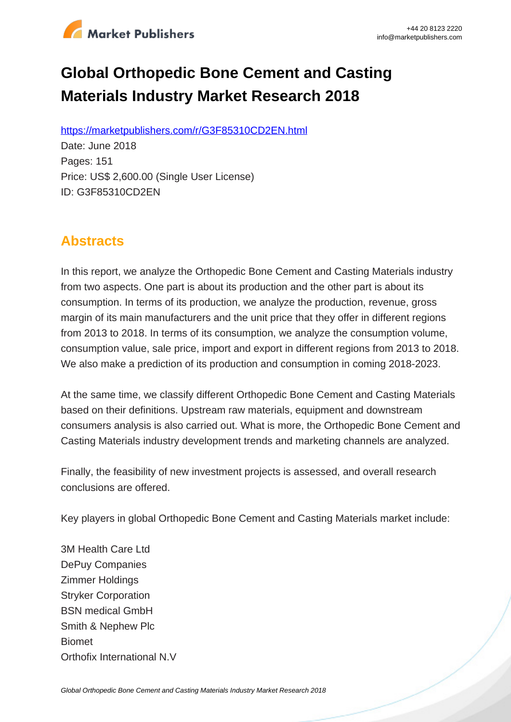

# **Global Orthopedic Bone Cement and Casting Materials Industry Market Research 2018**

https://marketpublishers.com/r/G3F85310CD2EN.html

Date: June 2018 Pages: 151 Price: US\$ 2,600.00 (Single User License) ID: G3F85310CD2EN

### **Abstracts**

In this report, we analyze the Orthopedic Bone Cement and Casting Materials industry from two aspects. One part is about its production and the other part is about its consumption. In terms of its production, we analyze the production, revenue, gross margin of its main manufacturers and the unit price that they offer in different regions from 2013 to 2018. In terms of its consumption, we analyze the consumption volume, consumption value, sale price, import and export in different regions from 2013 to 2018. We also make a prediction of its production and consumption in coming 2018-2023.

At the same time, we classify different Orthopedic Bone Cement and Casting Materials based on their definitions. Upstream raw materials, equipment and downstream consumers analysis is also carried out. What is more, the Orthopedic Bone Cement and Casting Materials industry development trends and marketing channels are analyzed.

Finally, the feasibility of new investment projects is assessed, and overall research conclusions are offered.

Key players in global Orthopedic Bone Cement and Casting Materials market include:

3M Health Care Ltd DePuy Companies Zimmer Holdings Stryker Corporation BSN medical GmbH Smith & Nephew Plc Biomet Orthofix International N.V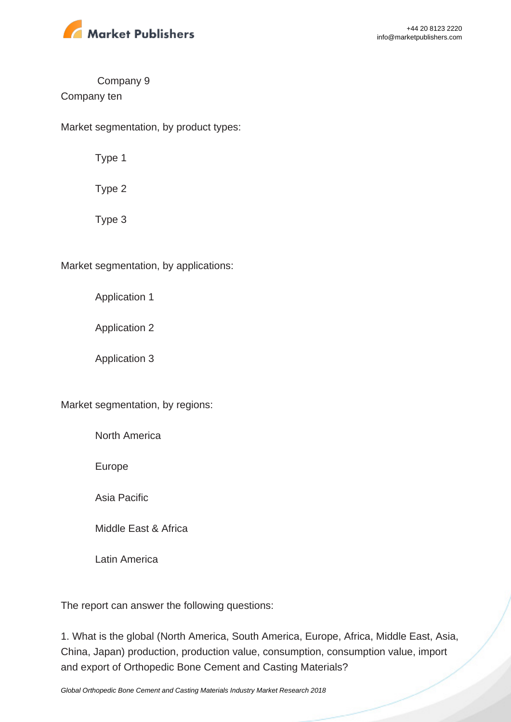

#### Company 9

#### Company ten

Market segmentation, by product types:

Type 1

Type 2

Type 3

Market segmentation, by applications:

Application 1

Application 2

Application 3

Market segmentation, by regions:

North America

Europe

Asia Pacific

Middle East & Africa

Latin America

The report can answer the following questions:

1. What is the global (North America, South America, Europe, Africa, Middle East, Asia, China, Japan) production, production value, consumption, consumption value, import and export of Orthopedic Bone Cement and Casting Materials?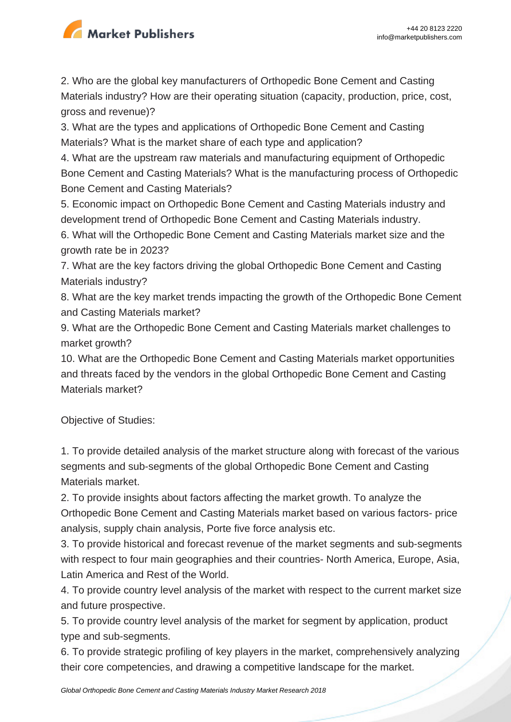

2. Who are the global key manufacturers of Orthopedic Bone Cement and Casting Materials industry? How are their operating situation (capacity, production, price, cost, gross and revenue)?

3. What are the types and applications of Orthopedic Bone Cement and Casting Materials? What is the market share of each type and application?

4. What are the upstream raw materials and manufacturing equipment of Orthopedic Bone Cement and Casting Materials? What is the manufacturing process of Orthopedic Bone Cement and Casting Materials?

5. Economic impact on Orthopedic Bone Cement and Casting Materials industry and development trend of Orthopedic Bone Cement and Casting Materials industry.

6. What will the Orthopedic Bone Cement and Casting Materials market size and the growth rate be in 2023?

7. What are the key factors driving the global Orthopedic Bone Cement and Casting Materials industry?

8. What are the key market trends impacting the growth of the Orthopedic Bone Cement and Casting Materials market?

9. What are the Orthopedic Bone Cement and Casting Materials market challenges to market growth?

10. What are the Orthopedic Bone Cement and Casting Materials market opportunities and threats faced by the vendors in the global Orthopedic Bone Cement and Casting Materials market?

Objective of Studies:

1. To provide detailed analysis of the market structure along with forecast of the various segments and sub-segments of the global Orthopedic Bone Cement and Casting Materials market.

2. To provide insights about factors affecting the market growth. To analyze the Orthopedic Bone Cement and Casting Materials market based on various factors- price analysis, supply chain analysis, Porte five force analysis etc.

3. To provide historical and forecast revenue of the market segments and sub-segments with respect to four main geographies and their countries- North America, Europe, Asia, Latin America and Rest of the World.

4. To provide country level analysis of the market with respect to the current market size and future prospective.

5. To provide country level analysis of the market for segment by application, product type and sub-segments.

6. To provide strategic profiling of key players in the market, comprehensively analyzing their core competencies, and drawing a competitive landscape for the market.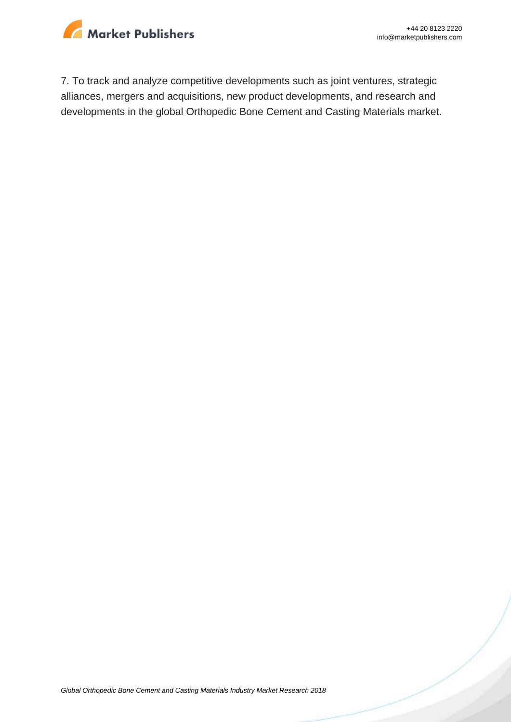

7. To track and analyze competitive developments such as joint ventures, strategic alliances, mergers and acquisitions, new product developments, and research and developments in the global Orthopedic Bone Cement and Casting Materials market.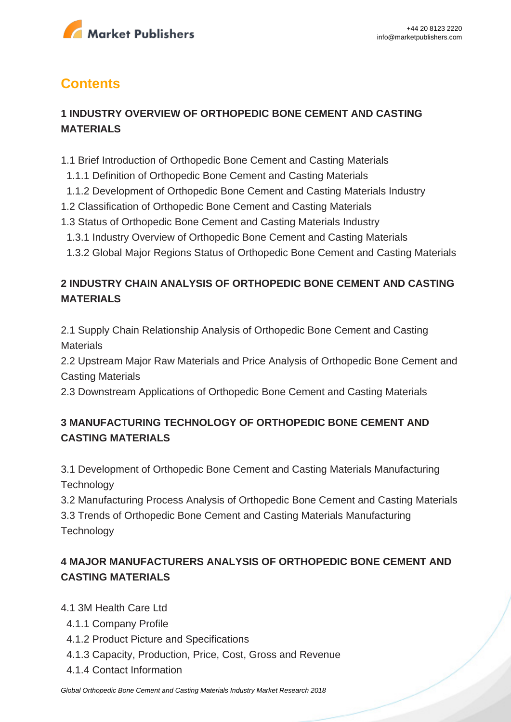

## **Contents**

#### **1 INDUSTRY OVERVIEW OF ORTHOPEDIC BONE CEMENT AND CASTING MATERIALS**

- 1.1 Brief Introduction of Orthopedic Bone Cement and Casting Materials
- 1.1.1 Definition of Orthopedic Bone Cement and Casting Materials
- 1.1.2 Development of Orthopedic Bone Cement and Casting Materials Industry
- 1.2 Classification of Orthopedic Bone Cement and Casting Materials
- 1.3 Status of Orthopedic Bone Cement and Casting Materials Industry
- 1.3.1 Industry Overview of Orthopedic Bone Cement and Casting Materials
- 1.3.2 Global Major Regions Status of Orthopedic Bone Cement and Casting Materials

#### **2 INDUSTRY CHAIN ANALYSIS OF ORTHOPEDIC BONE CEMENT AND CASTING MATERIALS**

2.1 Supply Chain Relationship Analysis of Orthopedic Bone Cement and Casting **Materials** 

2.2 Upstream Major Raw Materials and Price Analysis of Orthopedic Bone Cement and Casting Materials

2.3 Downstream Applications of Orthopedic Bone Cement and Casting Materials

#### **3 MANUFACTURING TECHNOLOGY OF ORTHOPEDIC BONE CEMENT AND CASTING MATERIALS**

3.1 Development of Orthopedic Bone Cement and Casting Materials Manufacturing **Technology** 

3.2 Manufacturing Process Analysis of Orthopedic Bone Cement and Casting Materials 3.3 Trends of Orthopedic Bone Cement and Casting Materials Manufacturing **Technology** 

#### **4 MAJOR MANUFACTURERS ANALYSIS OF ORTHOPEDIC BONE CEMENT AND CASTING MATERIALS**

4.1 3M Health Care Ltd

- 4.1.1 Company Profile
- 4.1.2 Product Picture and Specifications
- 4.1.3 Capacity, Production, Price, Cost, Gross and Revenue
- 4.1.4 Contact Information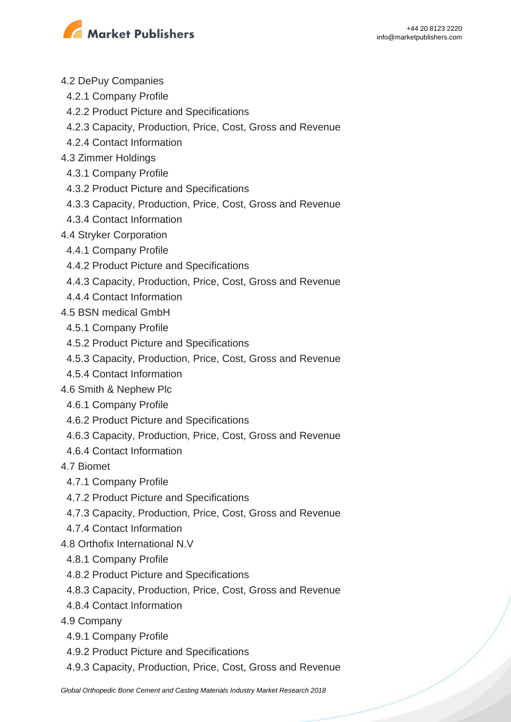

- 4.2 DePuy Companies
	- 4.2.1 Company Profile
	- 4.2.2 Product Picture and Specifications
	- 4.2.3 Capacity, Production, Price, Cost, Gross and Revenue
- 4.2.4 Contact Information
- 4.3 Zimmer Holdings
	- 4.3.1 Company Profile
	- 4.3.2 Product Picture and Specifications
- 4.3.3 Capacity, Production, Price, Cost, Gross and Revenue
- 4.3.4 Contact Information
- 4.4 Stryker Corporation
- 4.4.1 Company Profile
- 4.4.2 Product Picture and Specifications
- 4.4.3 Capacity, Production, Price, Cost, Gross and Revenue
- 4.4.4 Contact Information
- 4.5 BSN medical GmbH
- 4.5.1 Company Profile
- 4.5.2 Product Picture and Specifications
- 4.5.3 Capacity, Production, Price, Cost, Gross and Revenue
- 4.5.4 Contact Information
- 4.6 Smith & Nephew Plc
- 4.6.1 Company Profile
- 4.6.2 Product Picture and Specifications
- 4.6.3 Capacity, Production, Price, Cost, Gross and Revenue
- 4.6.4 Contact Information
- 4.7 Biomet
	- 4.7.1 Company Profile
	- 4.7.2 Product Picture and Specifications
- 4.7.3 Capacity, Production, Price, Cost, Gross and Revenue
- 4.7.4 Contact Information
- 4.8 Orthofix International N.V
	- 4.8.1 Company Profile
	- 4.8.2 Product Picture and Specifications
	- 4.8.3 Capacity, Production, Price, Cost, Gross and Revenue
	- 4.8.4 Contact Information
- 4.9 Company
	- 4.9.1 Company Profile
	- 4.9.2 Product Picture and Specifications
	- 4.9.3 Capacity, Production, Price, Cost, Gross and Revenue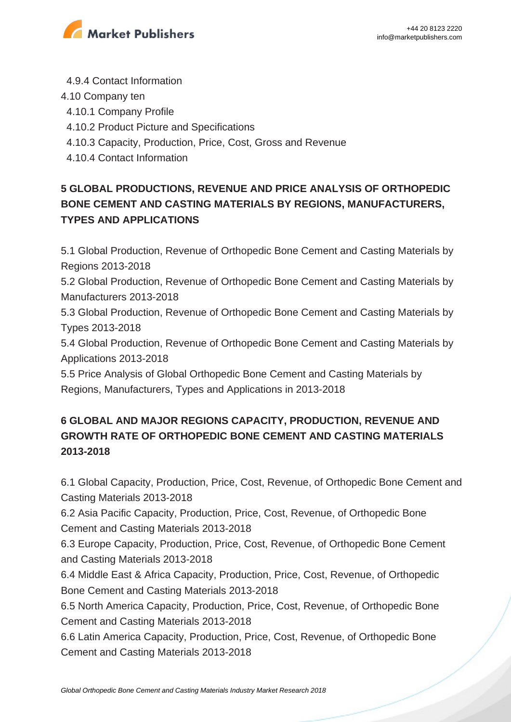

- 4.9.4 Contact Information
- 4.10 Company ten
- 4.10.1 Company Profile
- 4.10.2 Product Picture and Specifications
- 4.10.3 Capacity, Production, Price, Cost, Gross and Revenue
- 4.10.4 Contact Information

### **5 GLOBAL PRODUCTIONS, REVENUE AND PRICE ANALYSIS OF ORTHOPEDIC BONE CEMENT AND CASTING MATERIALS BY REGIONS, MANUFACTURERS, TYPES AND APPLICATIONS**

5.1 Global Production, Revenue of Orthopedic Bone Cement and Casting Materials by Regions 2013-2018

5.2 Global Production, Revenue of Orthopedic Bone Cement and Casting Materials by Manufacturers 2013-2018

5.3 Global Production, Revenue of Orthopedic Bone Cement and Casting Materials by Types 2013-2018

5.4 Global Production, Revenue of Orthopedic Bone Cement and Casting Materials by Applications 2013-2018

5.5 Price Analysis of Global Orthopedic Bone Cement and Casting Materials by Regions, Manufacturers, Types and Applications in 2013-2018

### **6 GLOBAL AND MAJOR REGIONS CAPACITY, PRODUCTION, REVENUE AND GROWTH RATE OF ORTHOPEDIC BONE CEMENT AND CASTING MATERIALS 2013-2018**

6.1 Global Capacity, Production, Price, Cost, Revenue, of Orthopedic Bone Cement and Casting Materials 2013-2018

6.2 Asia Pacific Capacity, Production, Price, Cost, Revenue, of Orthopedic Bone Cement and Casting Materials 2013-2018

6.3 Europe Capacity, Production, Price, Cost, Revenue, of Orthopedic Bone Cement and Casting Materials 2013-2018

6.4 Middle East & Africa Capacity, Production, Price, Cost, Revenue, of Orthopedic Bone Cement and Casting Materials 2013-2018

6.5 North America Capacity, Production, Price, Cost, Revenue, of Orthopedic Bone Cement and Casting Materials 2013-2018

6.6 Latin America Capacity, Production, Price, Cost, Revenue, of Orthopedic Bone Cement and Casting Materials 2013-2018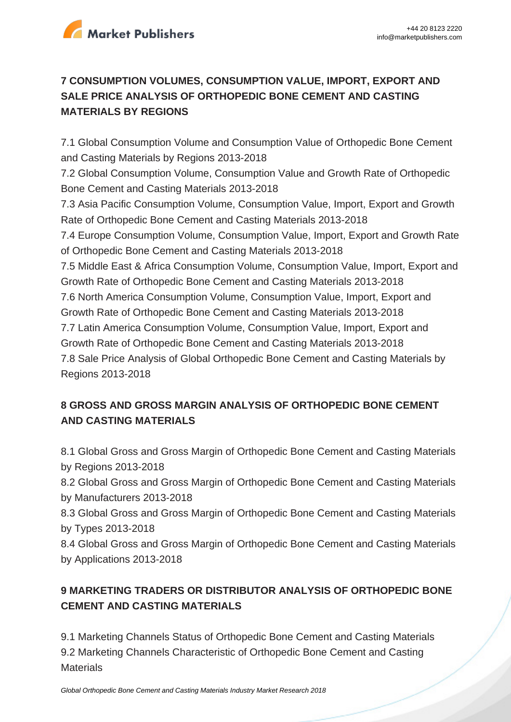

#### **7 CONSUMPTION VOLUMES, CONSUMPTION VALUE, IMPORT, EXPORT AND SALE PRICE ANALYSIS OF ORTHOPEDIC BONE CEMENT AND CASTING MATERIALS BY REGIONS**

7.1 Global Consumption Volume and Consumption Value of Orthopedic Bone Cement and Casting Materials by Regions 2013-2018 7.2 Global Consumption Volume, Consumption Value and Growth Rate of Orthopedic Bone Cement and Casting Materials 2013-2018 7.3 Asia Pacific Consumption Volume, Consumption Value, Import, Export and Growth Rate of Orthopedic Bone Cement and Casting Materials 2013-2018 7.4 Europe Consumption Volume, Consumption Value, Import, Export and Growth Rate of Orthopedic Bone Cement and Casting Materials 2013-2018 7.5 Middle East & Africa Consumption Volume, Consumption Value, Import, Export and Growth Rate of Orthopedic Bone Cement and Casting Materials 2013-2018 7.6 North America Consumption Volume, Consumption Value, Import, Export and Growth Rate of Orthopedic Bone Cement and Casting Materials 2013-2018 7.7 Latin America Consumption Volume, Consumption Value, Import, Export and Growth Rate of Orthopedic Bone Cement and Casting Materials 2013-2018 7.8 Sale Price Analysis of Global Orthopedic Bone Cement and Casting Materials by Regions 2013-2018

#### **8 GROSS AND GROSS MARGIN ANALYSIS OF ORTHOPEDIC BONE CEMENT AND CASTING MATERIALS**

8.1 Global Gross and Gross Margin of Orthopedic Bone Cement and Casting Materials by Regions 2013-2018

8.2 Global Gross and Gross Margin of Orthopedic Bone Cement and Casting Materials by Manufacturers 2013-2018

8.3 Global Gross and Gross Margin of Orthopedic Bone Cement and Casting Materials by Types 2013-2018

8.4 Global Gross and Gross Margin of Orthopedic Bone Cement and Casting Materials by Applications 2013-2018

### **9 MARKETING TRADERS OR DISTRIBUTOR ANALYSIS OF ORTHOPEDIC BONE CEMENT AND CASTING MATERIALS**

9.1 Marketing Channels Status of Orthopedic Bone Cement and Casting Materials 9.2 Marketing Channels Characteristic of Orthopedic Bone Cement and Casting **Materials**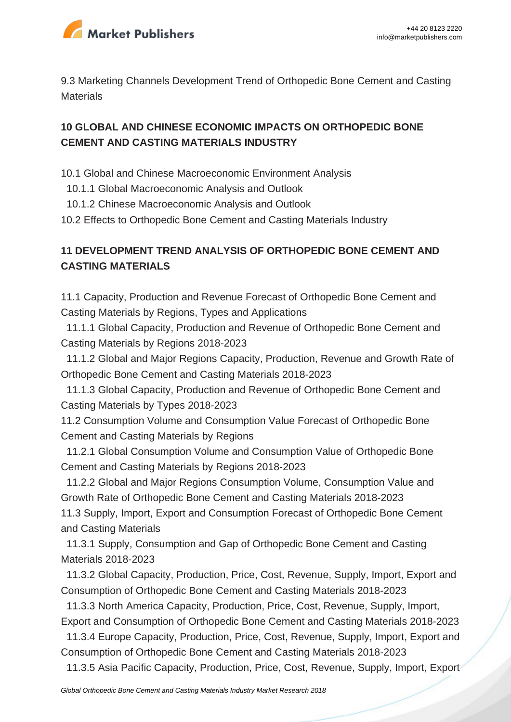

9.3 Marketing Channels Development Trend of Orthopedic Bone Cement and Casting **Materials** 

#### **10 GLOBAL AND CHINESE ECONOMIC IMPACTS ON ORTHOPEDIC BONE CEMENT AND CASTING MATERIALS INDUSTRY**

- 10.1 Global and Chinese Macroeconomic Environment Analysis
	- 10.1.1 Global Macroeconomic Analysis and Outlook
- 10.1.2 Chinese Macroeconomic Analysis and Outlook
- 10.2 Effects to Orthopedic Bone Cement and Casting Materials Industry

#### **11 DEVELOPMENT TREND ANALYSIS OF ORTHOPEDIC BONE CEMENT AND CASTING MATERIALS**

11.1 Capacity, Production and Revenue Forecast of Orthopedic Bone Cement and Casting Materials by Regions, Types and Applications

 11.1.1 Global Capacity, Production and Revenue of Orthopedic Bone Cement and Casting Materials by Regions 2018-2023

 11.1.2 Global and Major Regions Capacity, Production, Revenue and Growth Rate of Orthopedic Bone Cement and Casting Materials 2018-2023

 11.1.3 Global Capacity, Production and Revenue of Orthopedic Bone Cement and Casting Materials by Types 2018-2023

11.2 Consumption Volume and Consumption Value Forecast of Orthopedic Bone Cement and Casting Materials by Regions

 11.2.1 Global Consumption Volume and Consumption Value of Orthopedic Bone Cement and Casting Materials by Regions 2018-2023

 11.2.2 Global and Major Regions Consumption Volume, Consumption Value and Growth Rate of Orthopedic Bone Cement and Casting Materials 2018-2023 11.3 Supply, Import, Export and Consumption Forecast of Orthopedic Bone Cement and Casting Materials

 11.3.1 Supply, Consumption and Gap of Orthopedic Bone Cement and Casting Materials 2018-2023

 11.3.2 Global Capacity, Production, Price, Cost, Revenue, Supply, Import, Export and Consumption of Orthopedic Bone Cement and Casting Materials 2018-2023

 11.3.3 North America Capacity, Production, Price, Cost, Revenue, Supply, Import, Export and Consumption of Orthopedic Bone Cement and Casting Materials 2018-2023

 11.3.4 Europe Capacity, Production, Price, Cost, Revenue, Supply, Import, Export and Consumption of Orthopedic Bone Cement and Casting Materials 2018-2023

11.3.5 Asia Pacific Capacity, Production, Price, Cost, Revenue, Supply, Import, Export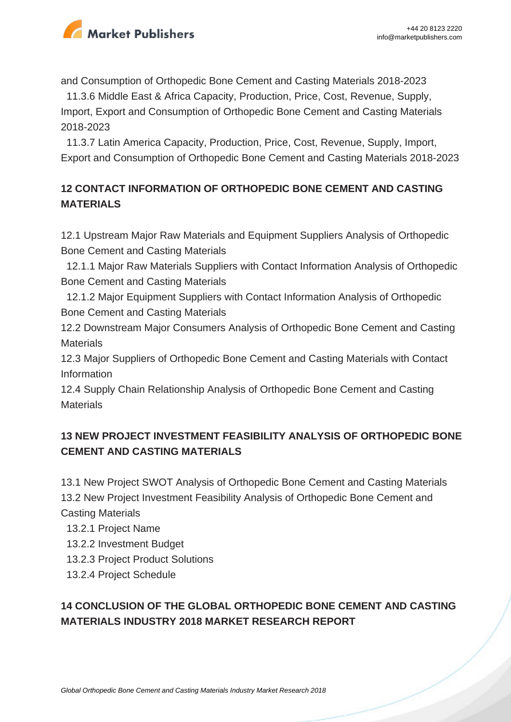

and Consumption of Orthopedic Bone Cement and Casting Materials 2018-2023

 11.3.6 Middle East & Africa Capacity, Production, Price, Cost, Revenue, Supply, Import, Export and Consumption of Orthopedic Bone Cement and Casting Materials 2018-2023

 11.3.7 Latin America Capacity, Production, Price, Cost, Revenue, Supply, Import, Export and Consumption of Orthopedic Bone Cement and Casting Materials 2018-2023

#### **12 CONTACT INFORMATION OF ORTHOPEDIC BONE CEMENT AND CASTING MATERIALS**

12.1 Upstream Major Raw Materials and Equipment Suppliers Analysis of Orthopedic Bone Cement and Casting Materials

 12.1.1 Major Raw Materials Suppliers with Contact Information Analysis of Orthopedic Bone Cement and Casting Materials

 12.1.2 Major Equipment Suppliers with Contact Information Analysis of Orthopedic Bone Cement and Casting Materials

12.2 Downstream Major Consumers Analysis of Orthopedic Bone Cement and Casting **Materials** 

12.3 Major Suppliers of Orthopedic Bone Cement and Casting Materials with Contact Information

12.4 Supply Chain Relationship Analysis of Orthopedic Bone Cement and Casting **Materials** 

#### **13 NEW PROJECT INVESTMENT FEASIBILITY ANALYSIS OF ORTHOPEDIC BONE CEMENT AND CASTING MATERIALS**

13.1 New Project SWOT Analysis of Orthopedic Bone Cement and Casting Materials 13.2 New Project Investment Feasibility Analysis of Orthopedic Bone Cement and Casting Materials

13.2.1 Project Name

- 13.2.2 Investment Budget
- 13.2.3 Project Product Solutions
- 13.2.4 Project Schedule

### **14 CONCLUSION OF THE GLOBAL ORTHOPEDIC BONE CEMENT AND CASTING MATERIALS INDUSTRY 2018 MARKET RESEARCH REPORT**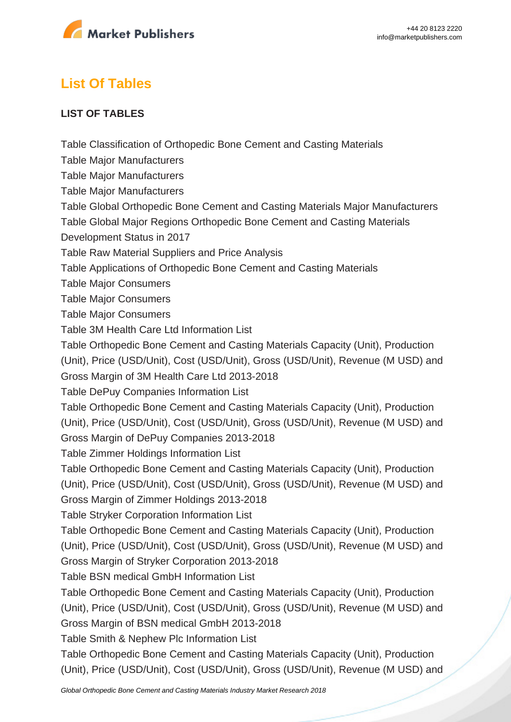

# **List Of Tables**

#### **LIST OF TABLES**

Table Classification of Orthopedic Bone Cement and Casting Materials

Table Major Manufacturers

Table Major Manufacturers

Table Major Manufacturers

Table Global Orthopedic Bone Cement and Casting Materials Major Manufacturers

Table Global Major Regions Orthopedic Bone Cement and Casting Materials

Development Status in 2017

Table Raw Material Suppliers and Price Analysis

Table Applications of Orthopedic Bone Cement and Casting Materials

Table Major Consumers

Table Major Consumers

Table Major Consumers

Table 3M Health Care Ltd Information List

Table Orthopedic Bone Cement and Casting Materials Capacity (Unit), Production

(Unit), Price (USD/Unit), Cost (USD/Unit), Gross (USD/Unit), Revenue (M USD) and

Gross Margin of 3M Health Care Ltd 2013-2018

Table DePuy Companies Information List

Table Orthopedic Bone Cement and Casting Materials Capacity (Unit), Production

(Unit), Price (USD/Unit), Cost (USD/Unit), Gross (USD/Unit), Revenue (M USD) and

Gross Margin of DePuy Companies 2013-2018

Table Zimmer Holdings Information List

Table Orthopedic Bone Cement and Casting Materials Capacity (Unit), Production

(Unit), Price (USD/Unit), Cost (USD/Unit), Gross (USD/Unit), Revenue (M USD) and

Gross Margin of Zimmer Holdings 2013-2018

Table Stryker Corporation Information List

Table Orthopedic Bone Cement and Casting Materials Capacity (Unit), Production

(Unit), Price (USD/Unit), Cost (USD/Unit), Gross (USD/Unit), Revenue (M USD) and

Gross Margin of Stryker Corporation 2013-2018

Table BSN medical GmbH Information List

Table Orthopedic Bone Cement and Casting Materials Capacity (Unit), Production

(Unit), Price (USD/Unit), Cost (USD/Unit), Gross (USD/Unit), Revenue (M USD) and

Gross Margin of BSN medical GmbH 2013-2018

Table Smith & Nephew Plc Information List

Table Orthopedic Bone Cement and Casting Materials Capacity (Unit), Production (Unit), Price (USD/Unit), Cost (USD/Unit), Gross (USD/Unit), Revenue (M USD) and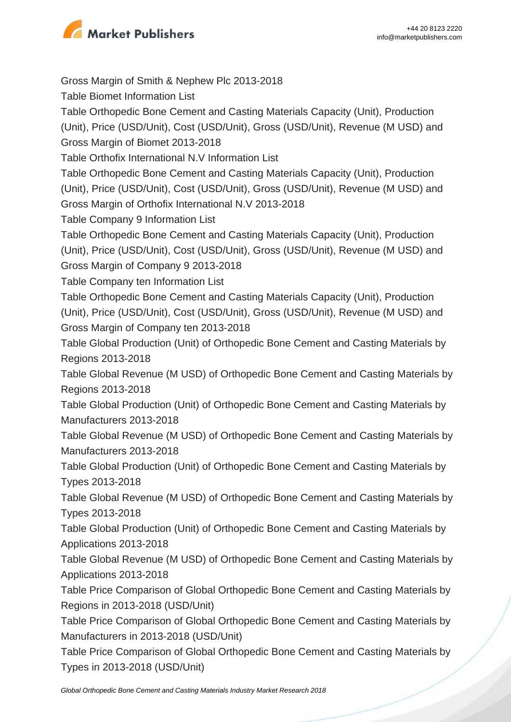

Gross Margin of Smith & Nephew Plc 2013-2018 Table Biomet Information List Table Orthopedic Bone Cement and Casting Materials Capacity (Unit), Production (Unit), Price (USD/Unit), Cost (USD/Unit), Gross (USD/Unit), Revenue (M USD) and Gross Margin of Biomet 2013-2018 Table Orthofix International N.V Information List Table Orthopedic Bone Cement and Casting Materials Capacity (Unit), Production (Unit), Price (USD/Unit), Cost (USD/Unit), Gross (USD/Unit), Revenue (M USD) and Gross Margin of Orthofix International N.V 2013-2018 Table Company 9 Information List Table Orthopedic Bone Cement and Casting Materials Capacity (Unit), Production (Unit), Price (USD/Unit), Cost (USD/Unit), Gross (USD/Unit), Revenue (M USD) and Gross Margin of Company 9 2013-2018 Table Company ten Information List Table Orthopedic Bone Cement and Casting Materials Capacity (Unit), Production (Unit), Price (USD/Unit), Cost (USD/Unit), Gross (USD/Unit), Revenue (M USD) and Gross Margin of Company ten 2013-2018 Table Global Production (Unit) of Orthopedic Bone Cement and Casting Materials by Regions 2013-2018 Table Global Revenue (M USD) of Orthopedic Bone Cement and Casting Materials by Regions 2013-2018 Table Global Production (Unit) of Orthopedic Bone Cement and Casting Materials by Manufacturers 2013-2018 Table Global Revenue (M USD) of Orthopedic Bone Cement and Casting Materials by Manufacturers 2013-2018 Table Global Production (Unit) of Orthopedic Bone Cement and Casting Materials by Types 2013-2018 Table Global Revenue (M USD) of Orthopedic Bone Cement and Casting Materials by Types 2013-2018 Table Global Production (Unit) of Orthopedic Bone Cement and Casting Materials by Applications 2013-2018 Table Global Revenue (M USD) of Orthopedic Bone Cement and Casting Materials by Applications 2013-2018 Table Price Comparison of Global Orthopedic Bone Cement and Casting Materials by Regions in 2013-2018 (USD/Unit) Table Price Comparison of Global Orthopedic Bone Cement and Casting Materials by Manufacturers in 2013-2018 (USD/Unit) Table Price Comparison of Global Orthopedic Bone Cement and Casting Materials by Types in 2013-2018 (USD/Unit)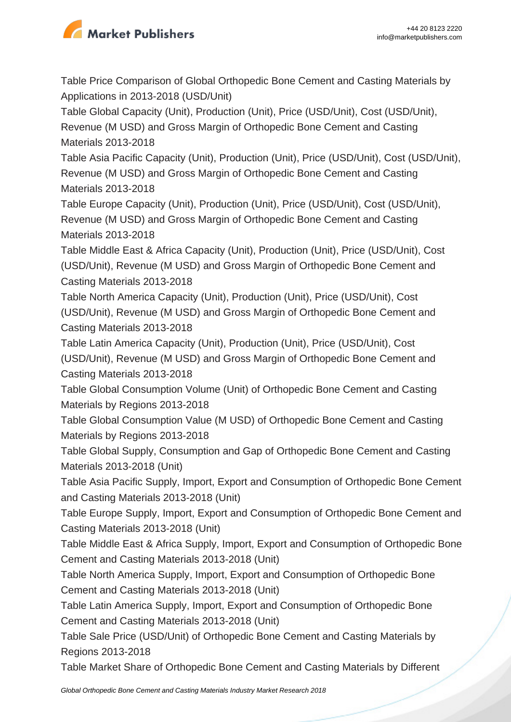

Table Price Comparison of Global Orthopedic Bone Cement and Casting Materials by Applications in 2013-2018 (USD/Unit)

Table Global Capacity (Unit), Production (Unit), Price (USD/Unit), Cost (USD/Unit),

Revenue (M USD) and Gross Margin of Orthopedic Bone Cement and Casting Materials 2013-2018

Table Asia Pacific Capacity (Unit), Production (Unit), Price (USD/Unit), Cost (USD/Unit), Revenue (M USD) and Gross Margin of Orthopedic Bone Cement and Casting Materials 2013-2018

Table Europe Capacity (Unit), Production (Unit), Price (USD/Unit), Cost (USD/Unit), Revenue (M USD) and Gross Margin of Orthopedic Bone Cement and Casting Materials 2013-2018

Table Middle East & Africa Capacity (Unit), Production (Unit), Price (USD/Unit), Cost (USD/Unit), Revenue (M USD) and Gross Margin of Orthopedic Bone Cement and Casting Materials 2013-2018

Table North America Capacity (Unit), Production (Unit), Price (USD/Unit), Cost (USD/Unit), Revenue (M USD) and Gross Margin of Orthopedic Bone Cement and Casting Materials 2013-2018

Table Latin America Capacity (Unit), Production (Unit), Price (USD/Unit), Cost (USD/Unit), Revenue (M USD) and Gross Margin of Orthopedic Bone Cement and Casting Materials 2013-2018

Table Global Consumption Volume (Unit) of Orthopedic Bone Cement and Casting Materials by Regions 2013-2018

Table Global Consumption Value (M USD) of Orthopedic Bone Cement and Casting Materials by Regions 2013-2018

Table Global Supply, Consumption and Gap of Orthopedic Bone Cement and Casting Materials 2013-2018 (Unit)

Table Asia Pacific Supply, Import, Export and Consumption of Orthopedic Bone Cement and Casting Materials 2013-2018 (Unit)

Table Europe Supply, Import, Export and Consumption of Orthopedic Bone Cement and Casting Materials 2013-2018 (Unit)

Table Middle East & Africa Supply, Import, Export and Consumption of Orthopedic Bone Cement and Casting Materials 2013-2018 (Unit)

Table North America Supply, Import, Export and Consumption of Orthopedic Bone Cement and Casting Materials 2013-2018 (Unit)

Table Latin America Supply, Import, Export and Consumption of Orthopedic Bone Cement and Casting Materials 2013-2018 (Unit)

Table Sale Price (USD/Unit) of Orthopedic Bone Cement and Casting Materials by Regions 2013-2018

Table Market Share of Orthopedic Bone Cement and Casting Materials by Different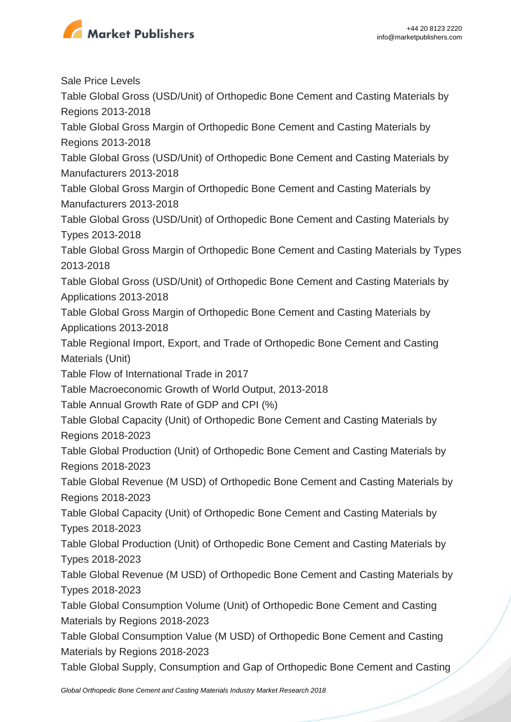

Sale Price Levels

Table Global Gross (USD/Unit) of Orthopedic Bone Cement and Casting Materials by Regions 2013-2018

Table Global Gross Margin of Orthopedic Bone Cement and Casting Materials by Regions 2013-2018

Table Global Gross (USD/Unit) of Orthopedic Bone Cement and Casting Materials by Manufacturers 2013-2018

Table Global Gross Margin of Orthopedic Bone Cement and Casting Materials by Manufacturers 2013-2018

Table Global Gross (USD/Unit) of Orthopedic Bone Cement and Casting Materials by Types 2013-2018

Table Global Gross Margin of Orthopedic Bone Cement and Casting Materials by Types 2013-2018

Table Global Gross (USD/Unit) of Orthopedic Bone Cement and Casting Materials by Applications 2013-2018

Table Global Gross Margin of Orthopedic Bone Cement and Casting Materials by Applications 2013-2018

Table Regional Import, Export, and Trade of Orthopedic Bone Cement and Casting Materials (Unit)

Table Flow of International Trade in 2017

Table Macroeconomic Growth of World Output, 2013-2018

Table Annual Growth Rate of GDP and CPI (%)

Table Global Capacity (Unit) of Orthopedic Bone Cement and Casting Materials by Regions 2018-2023

Table Global Production (Unit) of Orthopedic Bone Cement and Casting Materials by Regions 2018-2023

Table Global Revenue (M USD) of Orthopedic Bone Cement and Casting Materials by Regions 2018-2023

Table Global Capacity (Unit) of Orthopedic Bone Cement and Casting Materials by Types 2018-2023

Table Global Production (Unit) of Orthopedic Bone Cement and Casting Materials by Types 2018-2023

Table Global Revenue (M USD) of Orthopedic Bone Cement and Casting Materials by Types 2018-2023

Table Global Consumption Volume (Unit) of Orthopedic Bone Cement and Casting Materials by Regions 2018-2023

Table Global Consumption Value (M USD) of Orthopedic Bone Cement and Casting Materials by Regions 2018-2023

Table Global Supply, Consumption and Gap of Orthopedic Bone Cement and Casting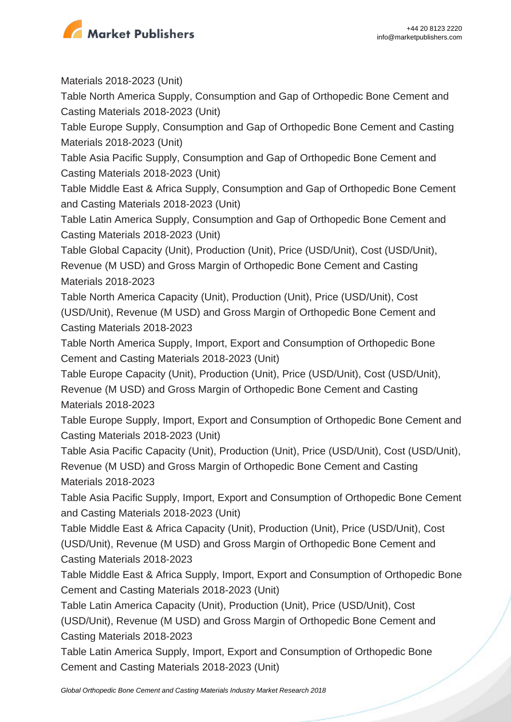

Materials 2018-2023 (Unit)

Table North America Supply, Consumption and Gap of Orthopedic Bone Cement and Casting Materials 2018-2023 (Unit)

Table Europe Supply, Consumption and Gap of Orthopedic Bone Cement and Casting Materials 2018-2023 (Unit)

Table Asia Pacific Supply, Consumption and Gap of Orthopedic Bone Cement and Casting Materials 2018-2023 (Unit)

Table Middle East & Africa Supply, Consumption and Gap of Orthopedic Bone Cement and Casting Materials 2018-2023 (Unit)

Table Latin America Supply, Consumption and Gap of Orthopedic Bone Cement and Casting Materials 2018-2023 (Unit)

Table Global Capacity (Unit), Production (Unit), Price (USD/Unit), Cost (USD/Unit), Revenue (M USD) and Gross Margin of Orthopedic Bone Cement and Casting Materials 2018-2023

Table North America Capacity (Unit), Production (Unit), Price (USD/Unit), Cost (USD/Unit), Revenue (M USD) and Gross Margin of Orthopedic Bone Cement and Casting Materials 2018-2023

Table North America Supply, Import, Export and Consumption of Orthopedic Bone Cement and Casting Materials 2018-2023 (Unit)

Table Europe Capacity (Unit), Production (Unit), Price (USD/Unit), Cost (USD/Unit), Revenue (M USD) and Gross Margin of Orthopedic Bone Cement and Casting Materials 2018-2023

Table Europe Supply, Import, Export and Consumption of Orthopedic Bone Cement and Casting Materials 2018-2023 (Unit)

Table Asia Pacific Capacity (Unit), Production (Unit), Price (USD/Unit), Cost (USD/Unit), Revenue (M USD) and Gross Margin of Orthopedic Bone Cement and Casting Materials 2018-2023

Table Asia Pacific Supply, Import, Export and Consumption of Orthopedic Bone Cement and Casting Materials 2018-2023 (Unit)

Table Middle East & Africa Capacity (Unit), Production (Unit), Price (USD/Unit), Cost (USD/Unit), Revenue (M USD) and Gross Margin of Orthopedic Bone Cement and Casting Materials 2018-2023

Table Middle East & Africa Supply, Import, Export and Consumption of Orthopedic Bone Cement and Casting Materials 2018-2023 (Unit)

Table Latin America Capacity (Unit), Production (Unit), Price (USD/Unit), Cost (USD/Unit), Revenue (M USD) and Gross Margin of Orthopedic Bone Cement and Casting Materials 2018-2023

Table Latin America Supply, Import, Export and Consumption of Orthopedic Bone Cement and Casting Materials 2018-2023 (Unit)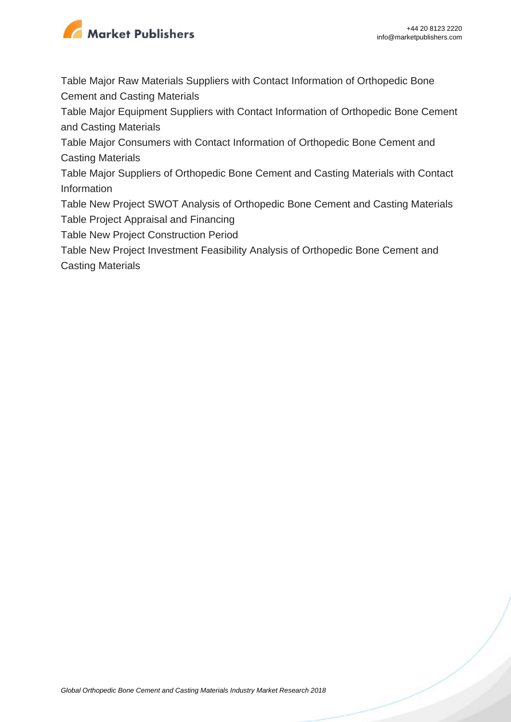

Table Major Raw Materials Suppliers with Contact Information of Orthopedic Bone Cement and Casting Materials

Table Major Equipment Suppliers with Contact Information of Orthopedic Bone Cement and Casting Materials

Table Major Consumers with Contact Information of Orthopedic Bone Cement and Casting Materials

Table Major Suppliers of Orthopedic Bone Cement and Casting Materials with Contact Information

Table New Project SWOT Analysis of Orthopedic Bone Cement and Casting Materials Table Project Appraisal and Financing

Table New Project Construction Period

Table New Project Investment Feasibility Analysis of Orthopedic Bone Cement and Casting Materials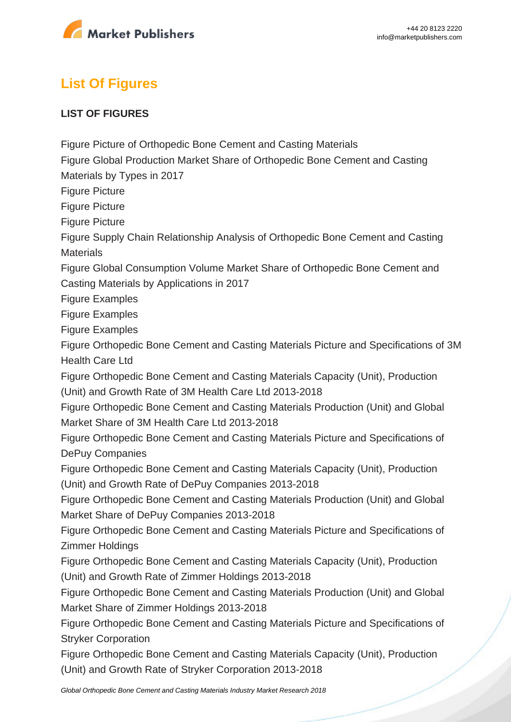

# **List Of Figures**

#### **LIST OF FIGURES**

Figure Picture of Orthopedic Bone Cement and Casting Materials

Figure Global Production Market Share of Orthopedic Bone Cement and Casting

Materials by Types in 2017

Figure Picture

Figure Picture

Figure Picture

Figure Supply Chain Relationship Analysis of Orthopedic Bone Cement and Casting **Materials** 

Figure Global Consumption Volume Market Share of Orthopedic Bone Cement and Casting Materials by Applications in 2017

Figure Examples

Figure Examples

Figure Examples

Figure Orthopedic Bone Cement and Casting Materials Picture and Specifications of 3M Health Care Ltd

Figure Orthopedic Bone Cement and Casting Materials Capacity (Unit), Production (Unit) and Growth Rate of 3M Health Care Ltd 2013-2018

Figure Orthopedic Bone Cement and Casting Materials Production (Unit) and Global Market Share of 3M Health Care Ltd 2013-2018

Figure Orthopedic Bone Cement and Casting Materials Picture and Specifications of DePuy Companies

Figure Orthopedic Bone Cement and Casting Materials Capacity (Unit), Production (Unit) and Growth Rate of DePuy Companies 2013-2018

Figure Orthopedic Bone Cement and Casting Materials Production (Unit) and Global Market Share of DePuy Companies 2013-2018

Figure Orthopedic Bone Cement and Casting Materials Picture and Specifications of Zimmer Holdings

Figure Orthopedic Bone Cement and Casting Materials Capacity (Unit), Production (Unit) and Growth Rate of Zimmer Holdings 2013-2018

Figure Orthopedic Bone Cement and Casting Materials Production (Unit) and Global Market Share of Zimmer Holdings 2013-2018

Figure Orthopedic Bone Cement and Casting Materials Picture and Specifications of Stryker Corporation

Figure Orthopedic Bone Cement and Casting Materials Capacity (Unit), Production (Unit) and Growth Rate of Stryker Corporation 2013-2018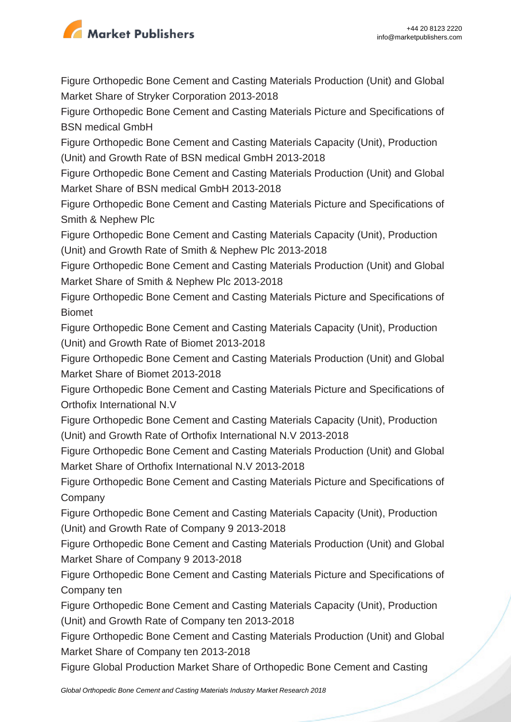

Figure Orthopedic Bone Cement and Casting Materials Production (Unit) and Global Market Share of Stryker Corporation 2013-2018

Figure Orthopedic Bone Cement and Casting Materials Picture and Specifications of BSN medical GmbH

Figure Orthopedic Bone Cement and Casting Materials Capacity (Unit), Production (Unit) and Growth Rate of BSN medical GmbH 2013-2018

Figure Orthopedic Bone Cement and Casting Materials Production (Unit) and Global Market Share of BSN medical GmbH 2013-2018

Figure Orthopedic Bone Cement and Casting Materials Picture and Specifications of Smith & Nephew Plc

Figure Orthopedic Bone Cement and Casting Materials Capacity (Unit), Production (Unit) and Growth Rate of Smith & Nephew Plc 2013-2018

Figure Orthopedic Bone Cement and Casting Materials Production (Unit) and Global Market Share of Smith & Nephew Plc 2013-2018

Figure Orthopedic Bone Cement and Casting Materials Picture and Specifications of Biomet

Figure Orthopedic Bone Cement and Casting Materials Capacity (Unit), Production (Unit) and Growth Rate of Biomet 2013-2018

Figure Orthopedic Bone Cement and Casting Materials Production (Unit) and Global Market Share of Biomet 2013-2018

Figure Orthopedic Bone Cement and Casting Materials Picture and Specifications of Orthofix International N.V

Figure Orthopedic Bone Cement and Casting Materials Capacity (Unit), Production (Unit) and Growth Rate of Orthofix International N.V 2013-2018

Figure Orthopedic Bone Cement and Casting Materials Production (Unit) and Global Market Share of Orthofix International N.V 2013-2018

Figure Orthopedic Bone Cement and Casting Materials Picture and Specifications of **Company** 

Figure Orthopedic Bone Cement and Casting Materials Capacity (Unit), Production (Unit) and Growth Rate of Company 9 2013-2018

Figure Orthopedic Bone Cement and Casting Materials Production (Unit) and Global Market Share of Company 9 2013-2018

Figure Orthopedic Bone Cement and Casting Materials Picture and Specifications of Company ten

Figure Orthopedic Bone Cement and Casting Materials Capacity (Unit), Production (Unit) and Growth Rate of Company ten 2013-2018

Figure Orthopedic Bone Cement and Casting Materials Production (Unit) and Global Market Share of Company ten 2013-2018

Figure Global Production Market Share of Orthopedic Bone Cement and Casting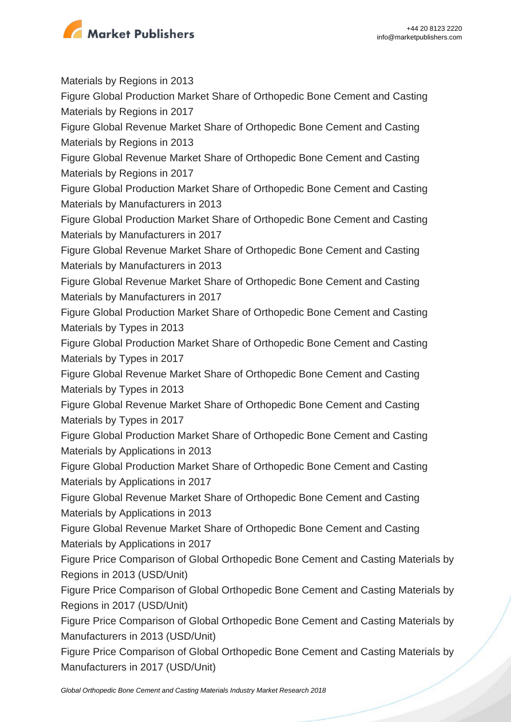

Materials by Regions in 2013 Figure Global Production Market Share of Orthopedic Bone Cement and Casting Materials by Regions in 2017 Figure Global Revenue Market Share of Orthopedic Bone Cement and Casting Materials by Regions in 2013 Figure Global Revenue Market Share of Orthopedic Bone Cement and Casting Materials by Regions in 2017 Figure Global Production Market Share of Orthopedic Bone Cement and Casting Materials by Manufacturers in 2013 Figure Global Production Market Share of Orthopedic Bone Cement and Casting Materials by Manufacturers in 2017 Figure Global Revenue Market Share of Orthopedic Bone Cement and Casting Materials by Manufacturers in 2013 Figure Global Revenue Market Share of Orthopedic Bone Cement and Casting Materials by Manufacturers in 2017 Figure Global Production Market Share of Orthopedic Bone Cement and Casting Materials by Types in 2013 Figure Global Production Market Share of Orthopedic Bone Cement and Casting Materials by Types in 2017 Figure Global Revenue Market Share of Orthopedic Bone Cement and Casting Materials by Types in 2013 Figure Global Revenue Market Share of Orthopedic Bone Cement and Casting Materials by Types in 2017 Figure Global Production Market Share of Orthopedic Bone Cement and Casting Materials by Applications in 2013 Figure Global Production Market Share of Orthopedic Bone Cement and Casting Materials by Applications in 2017 Figure Global Revenue Market Share of Orthopedic Bone Cement and Casting Materials by Applications in 2013 Figure Global Revenue Market Share of Orthopedic Bone Cement and Casting Materials by Applications in 2017 Figure Price Comparison of Global Orthopedic Bone Cement and Casting Materials by Regions in 2013 (USD/Unit) Figure Price Comparison of Global Orthopedic Bone Cement and Casting Materials by Regions in 2017 (USD/Unit) Figure Price Comparison of Global Orthopedic Bone Cement and Casting Materials by Manufacturers in 2013 (USD/Unit) Figure Price Comparison of Global Orthopedic Bone Cement and Casting Materials by

Manufacturers in 2017 (USD/Unit)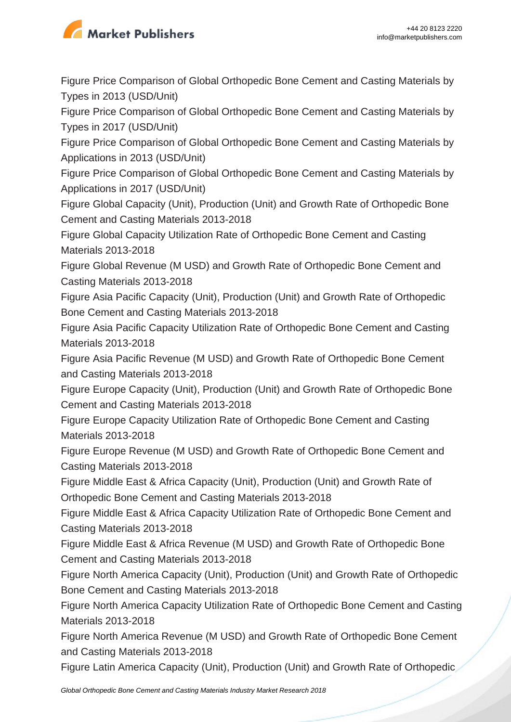

Figure Price Comparison of Global Orthopedic Bone Cement and Casting Materials by Types in 2013 (USD/Unit)

Figure Price Comparison of Global Orthopedic Bone Cement and Casting Materials by Types in 2017 (USD/Unit)

Figure Price Comparison of Global Orthopedic Bone Cement and Casting Materials by Applications in 2013 (USD/Unit)

Figure Price Comparison of Global Orthopedic Bone Cement and Casting Materials by Applications in 2017 (USD/Unit)

Figure Global Capacity (Unit), Production (Unit) and Growth Rate of Orthopedic Bone Cement and Casting Materials 2013-2018

Figure Global Capacity Utilization Rate of Orthopedic Bone Cement and Casting Materials 2013-2018

Figure Global Revenue (M USD) and Growth Rate of Orthopedic Bone Cement and Casting Materials 2013-2018

Figure Asia Pacific Capacity (Unit), Production (Unit) and Growth Rate of Orthopedic Bone Cement and Casting Materials 2013-2018

Figure Asia Pacific Capacity Utilization Rate of Orthopedic Bone Cement and Casting Materials 2013-2018

Figure Asia Pacific Revenue (M USD) and Growth Rate of Orthopedic Bone Cement and Casting Materials 2013-2018

Figure Europe Capacity (Unit), Production (Unit) and Growth Rate of Orthopedic Bone Cement and Casting Materials 2013-2018

Figure Europe Capacity Utilization Rate of Orthopedic Bone Cement and Casting Materials 2013-2018

Figure Europe Revenue (M USD) and Growth Rate of Orthopedic Bone Cement and Casting Materials 2013-2018

Figure Middle East & Africa Capacity (Unit), Production (Unit) and Growth Rate of Orthopedic Bone Cement and Casting Materials 2013-2018

Figure Middle East & Africa Capacity Utilization Rate of Orthopedic Bone Cement and Casting Materials 2013-2018

Figure Middle East & Africa Revenue (M USD) and Growth Rate of Orthopedic Bone Cement and Casting Materials 2013-2018

Figure North America Capacity (Unit), Production (Unit) and Growth Rate of Orthopedic Bone Cement and Casting Materials 2013-2018

Figure North America Capacity Utilization Rate of Orthopedic Bone Cement and Casting Materials 2013-2018

Figure North America Revenue (M USD) and Growth Rate of Orthopedic Bone Cement and Casting Materials 2013-2018

Figure Latin America Capacity (Unit), Production (Unit) and Growth Rate of Orthopedic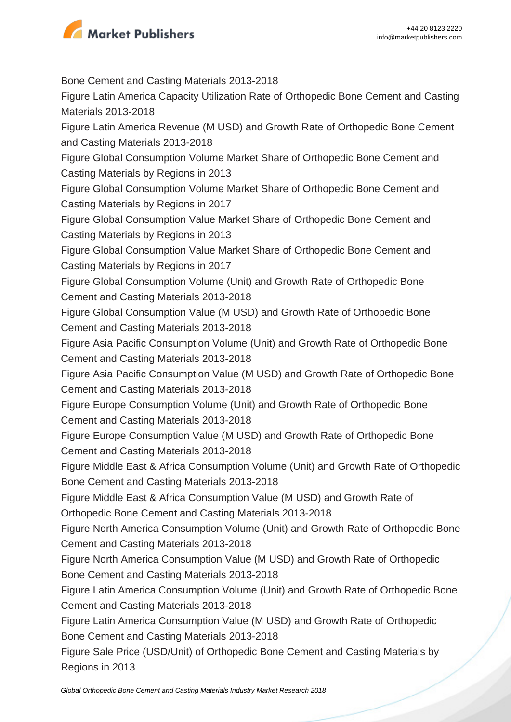

Bone Cement and Casting Materials 2013-2018 Figure Latin America Capacity Utilization Rate of Orthopedic Bone Cement and Casting Materials 2013-2018 Figure Latin America Revenue (M USD) and Growth Rate of Orthopedic Bone Cement and Casting Materials 2013-2018 Figure Global Consumption Volume Market Share of Orthopedic Bone Cement and Casting Materials by Regions in 2013 Figure Global Consumption Volume Market Share of Orthopedic Bone Cement and Casting Materials by Regions in 2017 Figure Global Consumption Value Market Share of Orthopedic Bone Cement and Casting Materials by Regions in 2013 Figure Global Consumption Value Market Share of Orthopedic Bone Cement and Casting Materials by Regions in 2017 Figure Global Consumption Volume (Unit) and Growth Rate of Orthopedic Bone Cement and Casting Materials 2013-2018 Figure Global Consumption Value (M USD) and Growth Rate of Orthopedic Bone Cement and Casting Materials 2013-2018 Figure Asia Pacific Consumption Volume (Unit) and Growth Rate of Orthopedic Bone Cement and Casting Materials 2013-2018 Figure Asia Pacific Consumption Value (M USD) and Growth Rate of Orthopedic Bone Cement and Casting Materials 2013-2018 Figure Europe Consumption Volume (Unit) and Growth Rate of Orthopedic Bone Cement and Casting Materials 2013-2018 Figure Europe Consumption Value (M USD) and Growth Rate of Orthopedic Bone Cement and Casting Materials 2013-2018 Figure Middle East & Africa Consumption Volume (Unit) and Growth Rate of Orthopedic Bone Cement and Casting Materials 2013-2018 Figure Middle East & Africa Consumption Value (M USD) and Growth Rate of Orthopedic Bone Cement and Casting Materials 2013-2018 Figure North America Consumption Volume (Unit) and Growth Rate of Orthopedic Bone Cement and Casting Materials 2013-2018 Figure North America Consumption Value (M USD) and Growth Rate of Orthopedic Bone Cement and Casting Materials 2013-2018 Figure Latin America Consumption Volume (Unit) and Growth Rate of Orthopedic Bone Cement and Casting Materials 2013-2018 Figure Latin America Consumption Value (M USD) and Growth Rate of Orthopedic Bone Cement and Casting Materials 2013-2018 Figure Sale Price (USD/Unit) of Orthopedic Bone Cement and Casting Materials by Regions in 2013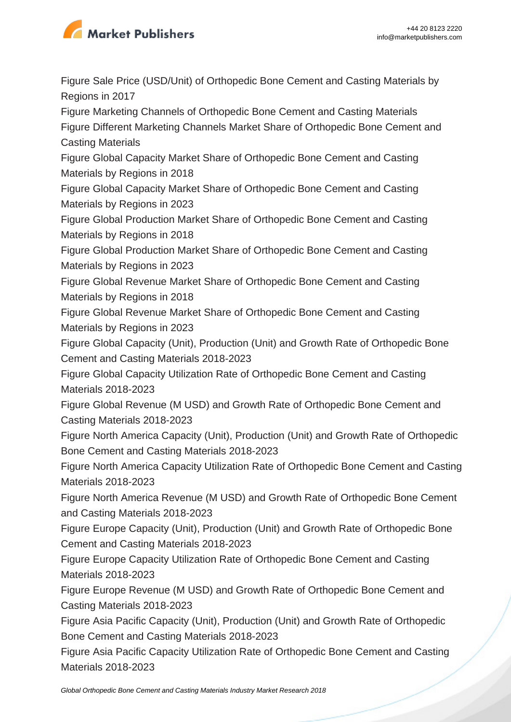

Figure Sale Price (USD/Unit) of Orthopedic Bone Cement and Casting Materials by Regions in 2017

Figure Marketing Channels of Orthopedic Bone Cement and Casting Materials Figure Different Marketing Channels Market Share of Orthopedic Bone Cement and Casting Materials

Figure Global Capacity Market Share of Orthopedic Bone Cement and Casting Materials by Regions in 2018

Figure Global Capacity Market Share of Orthopedic Bone Cement and Casting Materials by Regions in 2023

Figure Global Production Market Share of Orthopedic Bone Cement and Casting Materials by Regions in 2018

Figure Global Production Market Share of Orthopedic Bone Cement and Casting Materials by Regions in 2023

Figure Global Revenue Market Share of Orthopedic Bone Cement and Casting Materials by Regions in 2018

Figure Global Revenue Market Share of Orthopedic Bone Cement and Casting Materials by Regions in 2023

Figure Global Capacity (Unit), Production (Unit) and Growth Rate of Orthopedic Bone Cement and Casting Materials 2018-2023

Figure Global Capacity Utilization Rate of Orthopedic Bone Cement and Casting Materials 2018-2023

Figure Global Revenue (M USD) and Growth Rate of Orthopedic Bone Cement and Casting Materials 2018-2023

Figure North America Capacity (Unit), Production (Unit) and Growth Rate of Orthopedic Bone Cement and Casting Materials 2018-2023

Figure North America Capacity Utilization Rate of Orthopedic Bone Cement and Casting Materials 2018-2023

Figure North America Revenue (M USD) and Growth Rate of Orthopedic Bone Cement and Casting Materials 2018-2023

Figure Europe Capacity (Unit), Production (Unit) and Growth Rate of Orthopedic Bone Cement and Casting Materials 2018-2023

Figure Europe Capacity Utilization Rate of Orthopedic Bone Cement and Casting Materials 2018-2023

Figure Europe Revenue (M USD) and Growth Rate of Orthopedic Bone Cement and Casting Materials 2018-2023

Figure Asia Pacific Capacity (Unit), Production (Unit) and Growth Rate of Orthopedic Bone Cement and Casting Materials 2018-2023

Figure Asia Pacific Capacity Utilization Rate of Orthopedic Bone Cement and Casting Materials 2018-2023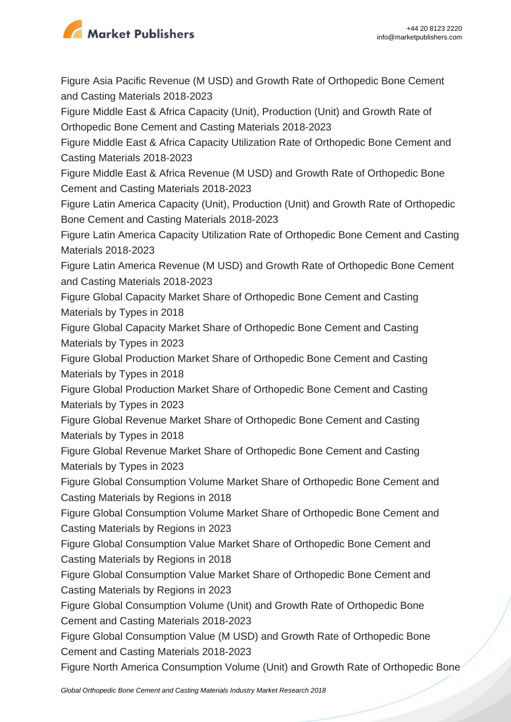

Figure Asia Pacific Revenue (M USD) and Growth Rate of Orthopedic Bone Cement and Casting Materials 2018-2023

Figure Middle East & Africa Capacity (Unit), Production (Unit) and Growth Rate of Orthopedic Bone Cement and Casting Materials 2018-2023

Figure Middle East & Africa Capacity Utilization Rate of Orthopedic Bone Cement and Casting Materials 2018-2023

Figure Middle East & Africa Revenue (M USD) and Growth Rate of Orthopedic Bone Cement and Casting Materials 2018-2023

Figure Latin America Capacity (Unit), Production (Unit) and Growth Rate of Orthopedic Bone Cement and Casting Materials 2018-2023

Figure Latin America Capacity Utilization Rate of Orthopedic Bone Cement and Casting Materials 2018-2023

Figure Latin America Revenue (M USD) and Growth Rate of Orthopedic Bone Cement and Casting Materials 2018-2023

Figure Global Capacity Market Share of Orthopedic Bone Cement and Casting Materials by Types in 2018

Figure Global Capacity Market Share of Orthopedic Bone Cement and Casting Materials by Types in 2023

Figure Global Production Market Share of Orthopedic Bone Cement and Casting Materials by Types in 2018

Figure Global Production Market Share of Orthopedic Bone Cement and Casting Materials by Types in 2023

Figure Global Revenue Market Share of Orthopedic Bone Cement and Casting Materials by Types in 2018

Figure Global Revenue Market Share of Orthopedic Bone Cement and Casting Materials by Types in 2023

Figure Global Consumption Volume Market Share of Orthopedic Bone Cement and Casting Materials by Regions in 2018

Figure Global Consumption Volume Market Share of Orthopedic Bone Cement and Casting Materials by Regions in 2023

Figure Global Consumption Value Market Share of Orthopedic Bone Cement and Casting Materials by Regions in 2018

Figure Global Consumption Value Market Share of Orthopedic Bone Cement and Casting Materials by Regions in 2023

Figure Global Consumption Volume (Unit) and Growth Rate of Orthopedic Bone Cement and Casting Materials 2018-2023

Figure Global Consumption Value (M USD) and Growth Rate of Orthopedic Bone Cement and Casting Materials 2018-2023

Figure North America Consumption Volume (Unit) and Growth Rate of Orthopedic Bone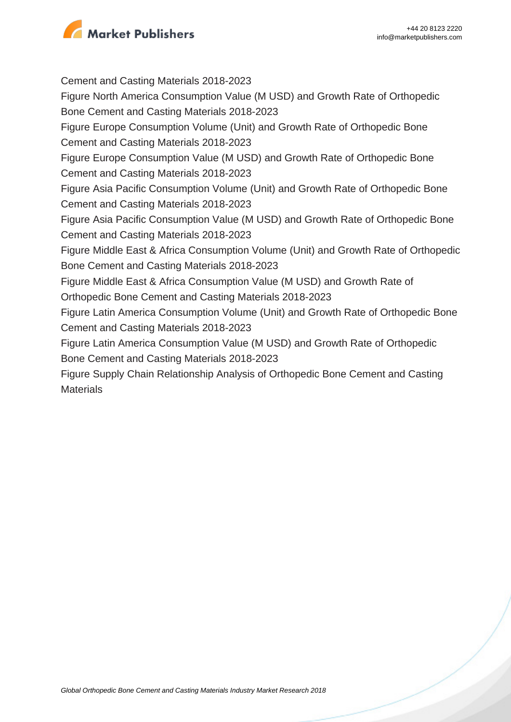

Cement and Casting Materials 2018-2023 Figure North America Consumption Value (M USD) and Growth Rate of Orthopedic Bone Cement and Casting Materials 2018-2023 Figure Europe Consumption Volume (Unit) and Growth Rate of Orthopedic Bone Cement and Casting Materials 2018-2023 Figure Europe Consumption Value (M USD) and Growth Rate of Orthopedic Bone Cement and Casting Materials 2018-2023 Figure Asia Pacific Consumption Volume (Unit) and Growth Rate of Orthopedic Bone Cement and Casting Materials 2018-2023 Figure Asia Pacific Consumption Value (M USD) and Growth Rate of Orthopedic Bone Cement and Casting Materials 2018-2023 Figure Middle East & Africa Consumption Volume (Unit) and Growth Rate of Orthopedic Bone Cement and Casting Materials 2018-2023 Figure Middle East & Africa Consumption Value (M USD) and Growth Rate of Orthopedic Bone Cement and Casting Materials 2018-2023 Figure Latin America Consumption Volume (Unit) and Growth Rate of Orthopedic Bone Cement and Casting Materials 2018-2023 Figure Latin America Consumption Value (M USD) and Growth Rate of Orthopedic Bone Cement and Casting Materials 2018-2023 Figure Supply Chain Relationship Analysis of Orthopedic Bone Cement and Casting **Materials**